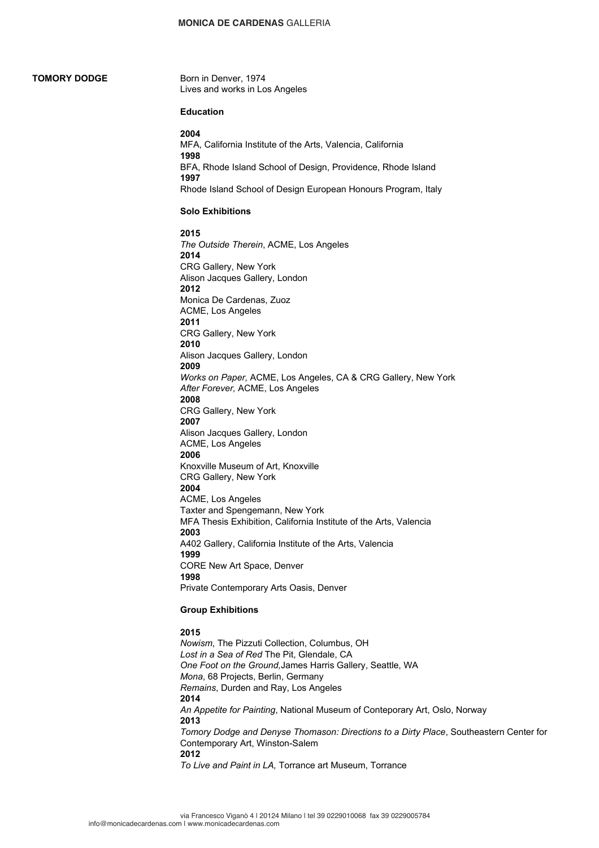# **TOMORY DODGE**

Born in Denver, 1974 Lives and works in Los Angeles

# **Education**

**2004** MFA, California Institute of the Arts, Valencia, California **1998** BFA, Rhode Island School of Design, Providence, Rhode Island **1997** Rhode Island School of Design European Honours Program, Italy

#### **Solo Exhibitions**

**2015** *The Outside Therein*, ACME, Los Angeles **2014** CRG Gallery, New York Alison Jacques Gallery, London **2012** Monica De Cardenas, Zuoz ACME, Los Angeles **2011** CRG Gallery, New York **2010** Alison Jacques Gallery, London **2009** *Works on Paper,* ACME, Los Angeles, CA & CRG Gallery, New York *After Forever,* ACME, Los Angeles **2008** CRG Gallery, New York **2007** Alison Jacques Gallery, London ACME, Los Angeles **2006** Knoxville Museum of Art, Knoxville CRG Gallery, New York **2004** ACME, Los Angeles Taxter and Spengemann, New York MFA Thesis Exhibition, California Institute of the Arts, Valencia **2003** A402 Gallery, California Institute of the Arts, Valencia **1999** CORE New Art Space, Denver **1998** Private Contemporary Arts Oasis, Denver

#### **Group Exhibitions**

# **2015**

*Nowism*, The Pizzuti Collection, Columbus, OH *Lost in a Sea of Red* The Pit, Glendale, CA *One Foot on the Ground,*James Harris Gallery, Seattle, WA *Mona*, 68 Projects, Berlin, Germany *Remains*, Durden and Ray, Los Angeles **2014** *An Appetite for Painting*, National Museum of Conteporary Art, Oslo, Norway **2013** *Tomory Dodge and Denyse Thomason: Directions to a Dirty Place*, Southeastern Center for Contemporary Art, Winston-Salem **2012** *To Live and Paint in LA,* Torrance art Museum, Torrance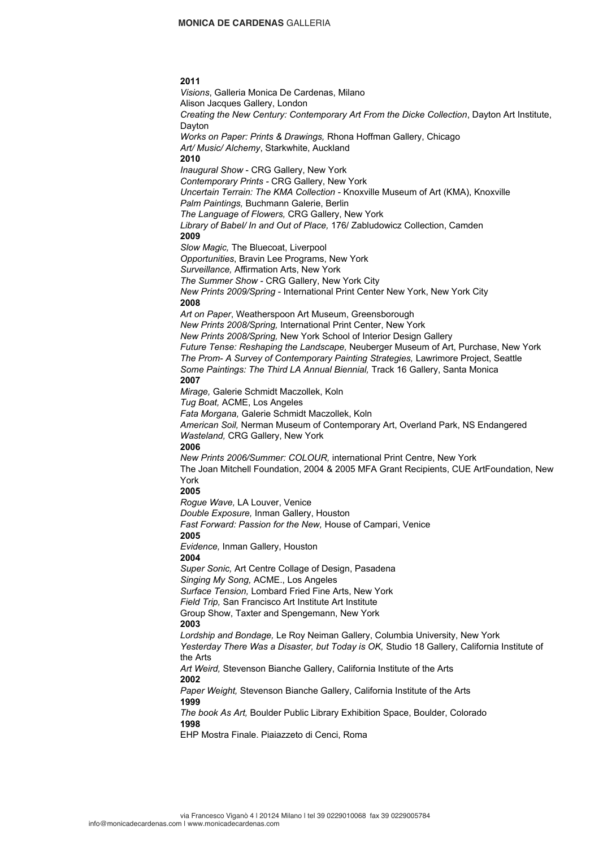# **2011**

*Visions*, Galleria Monica De Cardenas, Milano Alison Jacques Gallery, London *Creating the New Century: Contemporary Art From the Dicke Collection*, Dayton Art Institute, Dayton *Works on Paper: Prints & Drawings,* Rhona Hoffman Gallery, Chicago *Art/ Music/ Alchemy*, Starkwhite, Auckland **2010** *Inaugural Show* - CRG Gallery, New York *Contemporary Prints -* CRG Gallery, New York *Uncertain Terrain: The KMA Collection* - Knoxville Museum of Art (KMA), Knoxville *Palm Paintings,* Buchmann Galerie, Berlin *The Language of Flowers,* CRG Gallery, New York *Library of Babel/ In and Out of Place,* 176/ Zabludowicz Collection, Camden **2009** *Slow Magic,* The Bluecoat, Liverpool *Opportunities*, Bravin Lee Programs, New York *Surveillance,* Affirmation Arts, New York *The Summer Show* - CRG Gallery, New York City *New Prints 2009/Spring* - International Print Center New York, New York City **2008** *Art on Paper*, Weatherspoon Art Museum, Greensborough *New Prints 2008/Spring,* International Print Center, New York *New Prints 2008/Spring,* New York School of Interior Design Gallery *Future Tense: Reshaping the Landscape,* Neuberger Museum of Art, Purchase, New York *The Prom- A Survey of Contemporary Painting Strategies,* Lawrimore Project, Seattle *Some Paintings: The Third LA Annual Biennial,* Track 16 Gallery, Santa Monica **2007** *Mirage,* Galerie Schmidt Maczollek, Koln *Tug Boat,* ACME, Los Angeles *Fata Morgana,* Galerie Schmidt Maczollek, Koln *American Soil,* Nerman Museum of Contemporary Art, Overland Park, NS Endangered *Wasteland,* CRG Gallery, New York **2006** *New Prints 2006/Summer: COLOUR,* international Print Centre, New York The Joan Mitchell Foundation, 2004 & 2005 MFA Grant Recipients, CUE ArtFoundation, New York **2005** *Rogue Wave,* LA Louver, Venice *Double Exposure,* Inman Gallery, Houston *Fast Forward: Passion for the New,* House of Campari, Venice **2005** *Evidence,* Inman Gallery, Houston **2004** *Super Sonic,* Art Centre Collage of Design, Pasadena *Singing My Song,* ACME., Los Angeles *Surface Tension,* Lombard Fried Fine Arts, New York *Field Trip,* San Francisco Art Institute Art Institute Group Show, Taxter and Spengemann, New York **2003** *Lordship and Bondage,* Le Roy Neiman Gallery, Columbia University, New York *Yesterday There Was a Disaster, but Today is OK,* Studio 18 Gallery, California Institute of the Arts *Art Weird,* Stevenson Bianche Gallery, California Institute of the Arts **2002** *Paper Weight,* Stevenson Bianche Gallery, California Institute of the Arts **1999** *The book As Art,* Boulder Public Library Exhibition Space, Boulder, Colorado **1998** EHP Mostra Finale. Piaiazzeto di Cenci, Roma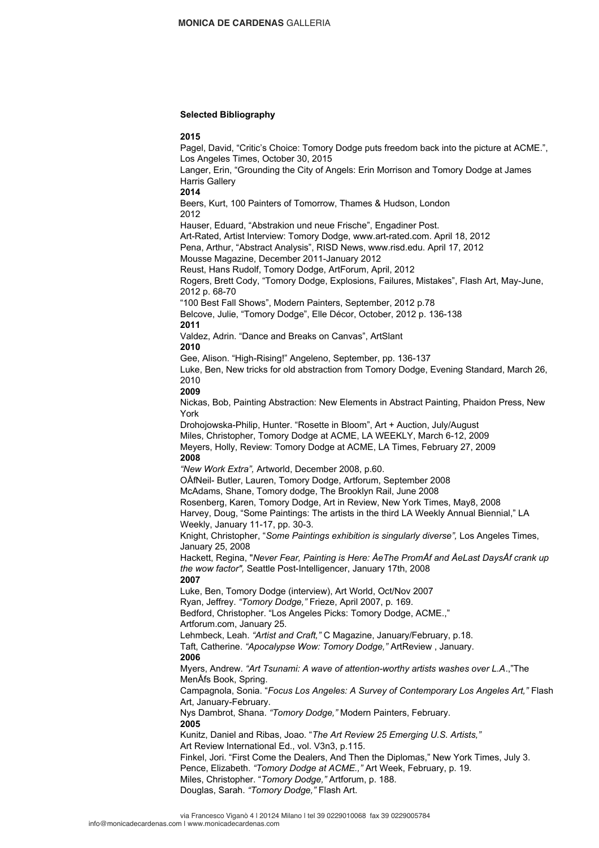## **Selected Bibliography**

## **2015**

Pagel, David, "Critic's Choice: Tomory Dodge puts freedom back into the picture at ACME.", Los Angeles Times, October 30, 2015 Langer, Erin, "Grounding the City of Angels: Erin Morrison and Tomory Dodge at James Harris Gallery **2014** Beers, Kurt, 100 Painters of Tomorrow, Thames & Hudson, London 2012 Hauser, Eduard, "Abstrakion und neue Frische", Engadiner Post. Art-Rated, Artist Interview: Tomory Dodge, www.art-rated.com. April 18, 2012 Pena, Arthur, "Abstract Analysis", RISD News, www.risd.edu. April 17, 2012 Mousse Magazine, December 2011-January 2012 Reust, Hans Rudolf, Tomory Dodge, ArtForum, April, 2012 Rogers, Brett Cody, "Tomory Dodge, Explosions, Failures, Mistakes", Flash Art, May-June, 2012 p. 68-70 "100 Best Fall Shows", Modern Painters, September, 2012 p.78 Belcove, Julie, "Tomory Dodge", Elle Décor, October, 2012 p. 136-138 **2011** Valdez, Adrin. "Dance and Breaks on Canvas", ArtSlant **2010** Gee, Alison. "High-Rising!" Angeleno, September, pp. 136-137 Luke, Ben, New tricks for old abstraction from Tomory Dodge, Evening Standard, March 26, 2010 **2009** Nickas, Bob, Painting Abstraction: New Elements in Abstract Painting, Phaidon Press, New York Drohojowska-Philip, Hunter. "Rosette in Bloom", Art + Auction, July/August Miles, Christopher, Tomory Dodge at ACME, LA WEEKLY, March 6-12, 2009 Meyers, Holly, Review: Tomory Dodge at ACME, LA Times, February 27, 2009 **2008** *"New Work Extra",* Artworld, December 2008, p.60. OÅfNeil- Butler, Lauren, Tomory Dodge, Artforum, September 2008 McAdams, Shane, Tomory dodge, The Brooklyn Rail, June 2008 Rosenberg, Karen, Tomory Dodge, Art in Review, New York Times, May8, 2008 Harvey, Doug, "Some Paintings: The artists in the third LA Weekly Annual Biennial," LA Weekly, January 11-17, pp. 30-3. Knight, Christopher, "*Some Paintings exhibition is singularly diverse",* Los Angeles Times, January 25, 2008 Hackett, Regina, "*Never Fear, Painting is Here: ÅeThe PromÅf and ÅeLast DaysÅf crank up the wow factor",* Seattle Post-Intelligencer, January 17th, 2008 **2007** Luke, Ben, Tomory Dodge (interview), Art World, Oct/Nov 2007 Ryan, Jeffrey. *"Tomory Dodge,"* Frieze, April 2007, p. 169. Bedford, Christopher. "Los Angeles Picks: Tomory Dodge, ACME.," Artforum.com, January 25. Lehmbeck, Leah. *"Artist and Craft,"* C Magazine, January/February, p.18. Taft, Catherine. *"Apocalypse Wow: Tomory Dodge,"* ArtReview , January. **2006** Myers, Andrew. *"Art Tsunami: A wave of attention-worthy artists washes over L.A*.,"The MenÅfs Book, Spring. Campagnola, Sonia. "*Focus Los Angeles: A Survey of Contemporary Los Angeles Art,"* Flash Art, January-February. Nys Dambrot, Shana. *"Tomory Dodge,"* Modern Painters, February. **2005** Kunitz, Daniel and Ribas, Joao. "*The Art Review 25 Emerging U.S. Artists,"* Art Review International Ed., vol. V3n3, p.115. Finkel, Jori. "First Come the Dealers, And Then the Diplomas," New York Times, July 3. Pence, Elizabeth. *"Tomory Dodge at ACME.,"* Art Week, February, p. 19. Miles, Christopher. "*Tomory Dodge,"* Artforum, p. 188. Douglas, Sarah. *"Tomory Dodge,"* Flash Art.